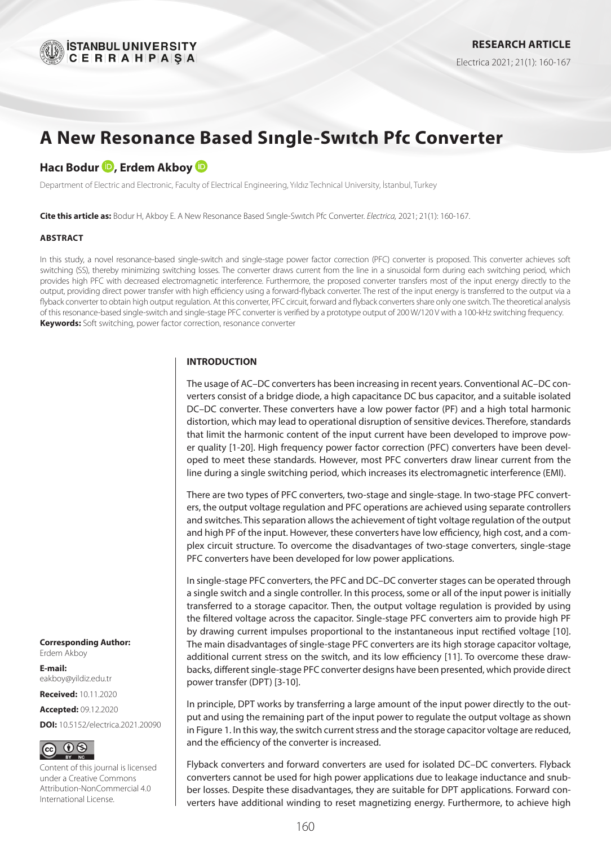

# **A New Resonance Based Sıngle-Swıtch Pfc Converter**

# **HacıBodur D**, Erdem Akboy **D**

Department of Electric and Electronic, Faculty of Electrical Engineering, Yıldız Technical University, İstanbul, Turkey

**Cite this article as:** Bodur H, Akboy E. A New Resonance Based Sıngle-Swıtch Pfc Converter. *Electrica,* 2021; 21(1): 160-167.

#### **ABSTRACT**

In this study, a novel resonance-based single-switch and single-stage power factor correction (PFC) converter is proposed. This converter achieves soft switching (SS), thereby minimizing switching losses. The converter draws current from the line in a sinusoidal form during each switching period, which provides high PFC with decreased electromagnetic interference. Furthermore, the proposed converter transfers most of the input energy directly to the output, providing direct power transfer with high efficiency using a forward-flyback converter. The rest of the input energy is transferred to the output via a flyback converter to obtain high output regulation. At this converter, PFC circuit, forward and flyback converters share only one switch. The theoretical analysis of this resonance-based single-switch and single-stage PFC converter is verified by a prototype output of 200 W/120 V with a 100-kHz switching frequency. **Keywords:** Soft switching, power factor correction, resonance converter

#### **INTRODUCTION**

The usage of AC–DC converters has been increasing in recent years. Conventional AC–DC converters consist of a bridge diode, a high capacitance DC bus capacitor, and a suitable isolated DC–DC converter. These converters have a low power factor (PF) and a high total harmonic distortion, which may lead to operational disruption of sensitive devices. Therefore, standards that limit the harmonic content of the input current have been developed to improve power quality [1-20]. High frequency power factor correction (PFC) converters have been developed to meet these standards. However, most PFC converters draw linear current from the line during a single switching period, which increases its electromagnetic interference (EMI).

There are two types of PFC converters, two-stage and single-stage. In two-stage PFC converters, the output voltage regulation and PFC operations are achieved using separate controllers and switches. This separation allows the achievement of tight voltage regulation of the output and high PF of the input. However, these converters have low efficiency, high cost, and a complex circuit structure. To overcome the disadvantages of two-stage converters, single-stage PFC converters have been developed for low power applications.

In single-stage PFC converters, the PFC and DC–DC converter stages can be operated through a single switch and a single controller. In this process, some or all of the input power is initially transferred to a storage capacitor. Then, the output voltage regulation is provided by using the filtered voltage across the capacitor. Single-stage PFC converters aim to provide high PF by drawing current impulses proportional to the instantaneous input rectified voltage [10]. The main disadvantages of single-stage PFC converters are its high storage capacitor voltage, additional current stress on the switch, and its low efficiency [11]. To overcome these drawbacks, different single-stage PFC converter designs have been presented, which provide direct power transfer (DPT) [3-10].

In principle, DPT works by transferring a large amount of the input power directly to the output and using the remaining part of the input power to regulate the output voltage as shown in Figure 1. In this way, the switch current stress and the storage capacitor voltage are reduced, and the efficiency of the converter is increased.

Flyback converters and forward converters are used for isolated DC–DC converters. Flyback converters cannot be used for high power applications due to leakage inductance and snubber losses. Despite these disadvantages, they are suitable for DPT applications. Forward converters have additional winding to reset magnetizing energy. Furthermore, to achieve high

**Corresponding Author:** Erdem Akboy

**E-mail:** eakboy@yildiz.edu.tr

**Received:** 10.11.2020

**Accepted:** 09.12.2020

**DOI:** 10.5152/electrica.2021.20090



Content of this journal is licensed under a Creative Commons Attribution-NonCommercial 4.0 International License.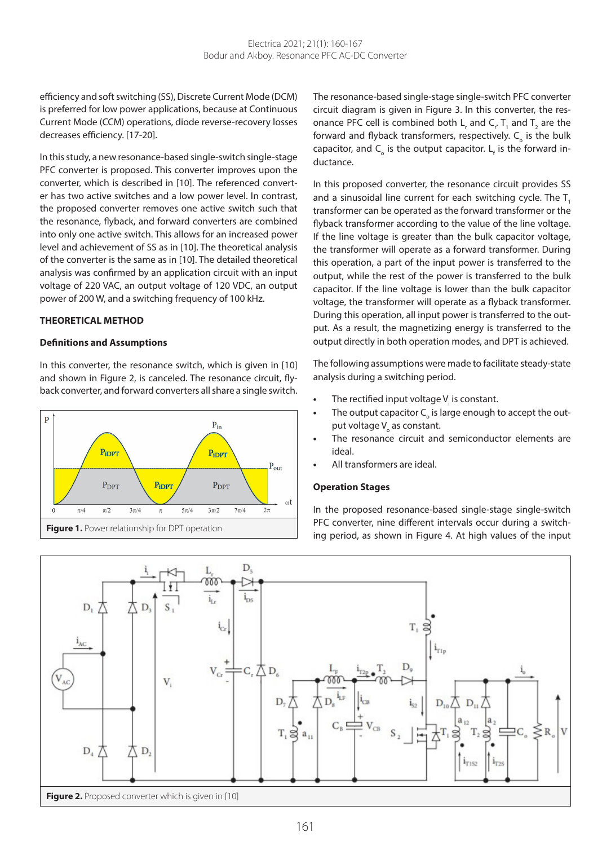efficiency and soft switching (SS), Discrete Current Mode (DCM) is preferred for low power applications, because at Continuous Current Mode (CCM) operations, diode reverse-recovery losses decreases efficiency. [17-20].

In this study, a new resonance-based single-switch single-stage PFC converter is proposed. This converter improves upon the converter, which is described in [10]. The referenced converter has two active switches and a low power level. In contrast, the proposed converter removes one active switch such that the resonance, flyback, and forward converters are combined into only one active switch. This allows for an increased power level and achievement of SS as in [10]. The theoretical analysis of the converter is the same as in [10]. The detailed theoretical analysis was confirmed by an application circuit with an input voltage of 220 VAC, an output voltage of 120 VDC, an output power of 200 W, and a switching frequency of 100 kHz.

#### **THEORETICAL METHOD**

#### **Definitions and Assumptions**

In this converter, the resonance switch, which is given in [10] and shown in Figure 2, is canceled. The resonance circuit, flyback converter, and forward converters all share a single switch.



The resonance-based single-stage single-switch PFC converter circuit diagram is given in Figure 3. In this converter, the resonance PFC cell is combined both  $\mathsf{L}_{\mathsf{r}}$  and  $\mathsf{C}_{\mathsf{r}}$ . T<sub>1</sub> and T<sub>2</sub> are the forward and flyback transformers, respectively.  $\mathsf{C}_\mathsf{b}$  is the bulk capacitor, and  $\mathsf{C}_{_{\mathrm{o}}}$  is the output capacitor.  $\mathsf{L}_{_{\mathsf{f}}}$  is the forward inductance.

In this proposed converter, the resonance circuit provides SS and a sinusoidal line current for each switching cycle. The T. transformer can be operated as the forward transformer or the flyback transformer according to the value of the line voltage. If the line voltage is greater than the bulk capacitor voltage, the transformer will operate as a forward transformer. During this operation, a part of the input power is transferred to the output, while the rest of the power is transferred to the bulk capacitor. If the line voltage is lower than the bulk capacitor voltage, the transformer will operate as a flyback transformer. During this operation, all input power is transferred to the output. As a result, the magnetizing energy is transferred to the output directly in both operation modes, and DPT is achieved.

The following assumptions were made to facilitate steady-state analysis during a switching period.

- The rectified input voltage V<sub>i</sub> is constant.
- The output capacitor C<sub>o</sub> is large enough to accept the output voltage V<sub>o</sub> as constant.
- **•** The resonance circuit and semiconductor elements are ideal.
- **•** All transformers are ideal.

#### **Operation Stages**

In the proposed resonance-based single-stage single-switch PFC converter, nine different intervals occur during a switch-

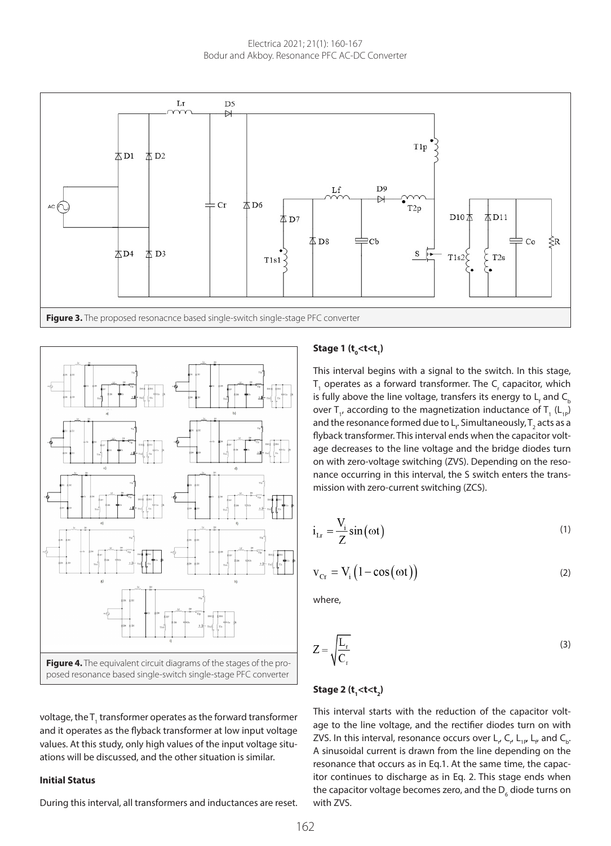



voltage, the T<sub>1</sub> transformer operates as the forward transformer and it operates as the flyback transformer at low input voltage values. At this study, only high values of the input voltage situations will be discussed, and the other situation is similar.

#### **Initial Status**

During this interval, all transformers and inductances are reset.

## **Stage 1 (t0 <t<t1 )**

This interval begins with a signal to the switch. In this stage,  $T_1$  operates as a forward transformer. The  $C_r$  capacitor, which is fully above the line voltage, transfers its energy to  $\mathsf{L}_{_{\mathsf{f}}}$  and  $\mathsf{C}_{_{\mathsf{b}}}$ over T<sub>1</sub>, according to the magnetization inductance of T<sub>1</sub> (L<sub>1P</sub>) and the resonance formed due to  $\mathsf{L}_\mathsf{f}$ . Simultaneously,  $\mathsf{T}_\mathsf{2}$  acts as a flyback transformer. This interval ends when the capacitor voltage decreases to the line voltage and the bridge diodes turn on with zero-voltage switching (ZVS). Depending on the resonance occurring in this interval, the S switch enters the transmission with zero-current switching (ZCS).

$$
i_{\text{L}r} = \frac{V_i}{Z} \sin(\omega t) \tag{1}
$$

$$
v_{Cr} = V_i (1 - \cos(\omega t))
$$
 (2)

where,

$$
Z = \sqrt{\frac{L_r}{C_r}}
$$
 (3)

## <u>Stage 2 (t<sub>1</sub><t<t<sub>2</sub>)</u>

This interval starts with the reduction of the capacitor voltage to the line voltage, and the rectifier diodes turn on with ZVS. In this interval, resonance occurs over L<sub>,</sub>, C<sub>,</sub>, L<sub>1P</sub>, L<sub>e</sub>, and C<sub>b</sub>. A sinusoidal current is drawn from the line depending on the resonance that occurs as in Eq.1. At the same time, the capacitor continues to discharge as in Eq. 2. This stage ends when the capacitor voltage becomes zero, and the  $\mathsf{D}_{_{6}}$  diode turns on with ZVS.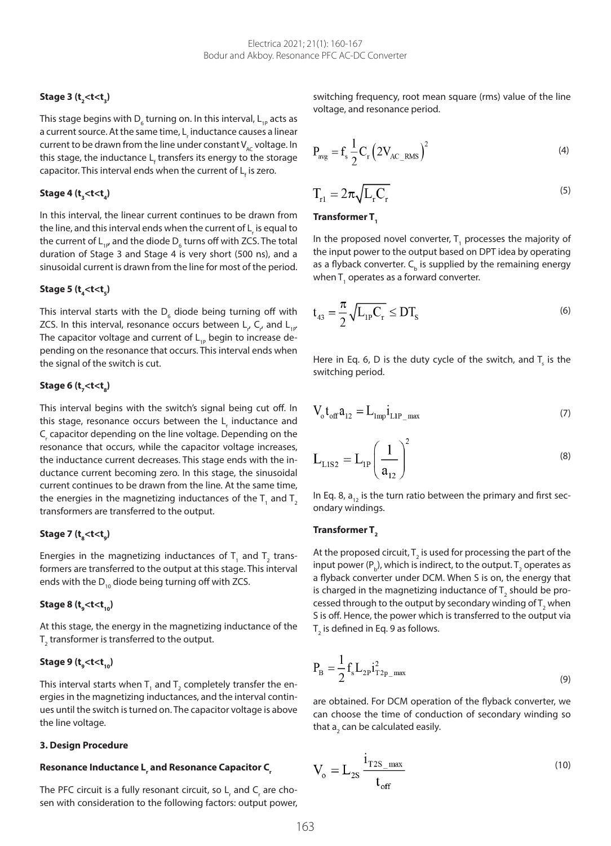# **Stage 3 (t2 <t<t3 )**

This stage begins with D<sub>6</sub> turning on. In this interval, L<sub>1P</sub> acts as a current source. At the same time, L<sub>,</sub> inductance causes a linear current to be drawn from the line under constant  $V_{AC}$  voltage. In this stage, the inductance L<sub>f</sub> transfers its energy to the storage capacitor. This interval ends when the current of  $\mathsf{L}_\mathsf{f}$  is zero.

# **Stage 4 (t3 <t<t4 )**

In this interval, the linear current continues to be drawn from the line, and this interval ends when the current of L<sub>,</sub> is equal to the current of  $\mathsf{L}_{\mathsf{1P}}$  and the diode  $\mathsf{D}_{_6}$  turns off with ZCS. The total duration of Stage 3 and Stage 4 is very short (500 ns), and a sinusoidal current is drawn from the line for most of the period.

# Stage 5 (t<sub>4</sub><t<t<sub>5</sub>)

This interval starts with the  $\mathsf{D}_{_6}$  diode being turning off with ZCS. In this interval, resonance occurs between  $\mathsf{L}_r$  C<sub>r</sub>, and  $\mathsf{L}_{_{1P}}$ The capacitor voltage and current of  $L_{1P}$  begin to increase depending on the resonance that occurs. This interval ends when the signal of the switch is cut.

## **Stage 6 (t<sub>7</sub><t<t<sub>8</sub>)**

This interval begins with the switch's signal being cut off. In this stage, resonance occurs between the  $\mathsf{L}_\mathsf{r}$  inductance and C<sub>r</sub> capacitor depending on the line voltage. Depending on the resonance that occurs, while the capacitor voltage increases, the inductance current decreases. This stage ends with the inductance current becoming zero. In this stage, the sinusoidal current continues to be drawn from the line. At the same time, the energies in the magnetizing inductances of the  ${\sf T}_{_{\rm 1}}$  and  ${\sf T}_{_{\rm 2}}$ transformers are transferred to the output.

# **Stage 7 (t8 <t<t9 )**

Energies in the magnetizing inductances of  ${\sf T}_{\sf i}$  and  ${\sf T}_{\sf 2}$  transformers are transferred to the output at this stage. This interval ends with the  $D_{10}$  diode being turning off with ZCS.

# **Stage 8 (t9 <t<t10)**

At this stage, the energy in the magnetizing inductance of the  ${\sf T}_\mathfrak{z}$  transformer is transferred to the output.

## **Stage 9 (t** $\mathsf{t}_\mathsf{g}$ **<t<t** $\mathsf{t}_\mathsf{10}$ **)**

This interval starts when  $\mathsf{T}_{_{1}}$  and  $\mathsf{T}_{_{2}}$  completely transfer the energies in the magnetizing inductances, and the interval continues until the switch is turned on. The capacitor voltage is above the line voltage.

## **3. Design Procedure**

# Resonance Inductance L<sub>,</sub> and Resonance Capacitor C<sub>,</sub>

The PFC circuit is a fully resonant circuit, so  $\mathsf{L}_{_{\mathsf{r}}}$  and  $\mathsf{C}_{_{\mathsf{r}}}$  are chosen with consideration to the following factors: output power, switching frequency, root mean square (rms) value of the line voltage, and resonance period.

$$
P_{\text{avg}} = f_s \frac{1}{2} C_r \left( 2V_{\text{AC\_RMS}} \right)^2 \tag{4}
$$

$$
T_{r1} = 2\pi \sqrt{L_r C_r} \tag{5}
$$

## Transformer T<sub>1</sub>

In the proposed novel converter,  ${\sf T}_{\!{}_1}$  processes the majority of the input power to the output based on DPT idea by operating as a flyback converter.  $\mathsf{C}_\mathsf{b}$  is supplied by the remaining energy when T $_{_{1}}$  operates as a forward converter.

$$
t_{43} = \frac{\pi}{2} \sqrt{L_{1P} C_r} \le DT_s \tag{6}
$$

Here in Eq. 6, D is the duty cycle of the switch, and  $T_{\rm s}$  is the switching period.

$$
V_{\rm o}t_{\rm off}a_{12} = L_{\rm imp}i_{\rm LIP_{\rm max}}\tag{7}
$$

$$
L_{LIS2} = L_{1P} \left(\frac{1}{a_{12}}\right)^2
$$
 (8)

In Eq. 8,  $a_{12}$  is the turn ratio between the primary and first secondary windings.

## Transformer T<sub>2</sub>

At the proposed circuit,  ${\sf T}_2$  is used for processing the part of the input power (P<sub>b</sub>), which is indirect, to the output. T<sub>2</sub> operates as a flyback converter under DCM. When S is on, the energy that is charged in the magnetizing inductance of  $\mathsf{T}_\mathfrak{z}$  should be processed through to the output by secondary winding of  $\mathsf{T}_\mathfrak{z}$  when S is off. Hence, the power which is transferred to the output via  ${\sf T}_\mathfrak z$  is defined in Eq. 9 as follows.

$$
P_{B} = \frac{1}{2} f_{s} L_{2P} i_{T2P_{\text{max}}}^{2}
$$
 (9)

are obtained. For DCM operation of the flyback converter, we can choose the time of conduction of secondary winding so that  $\mathsf{a}_\mathfrak{z}$  can be calculated easily.

$$
V_o = L_{2S} \frac{i_{T2S_{\text{max}}}}{t_{\text{off}}} \tag{10}
$$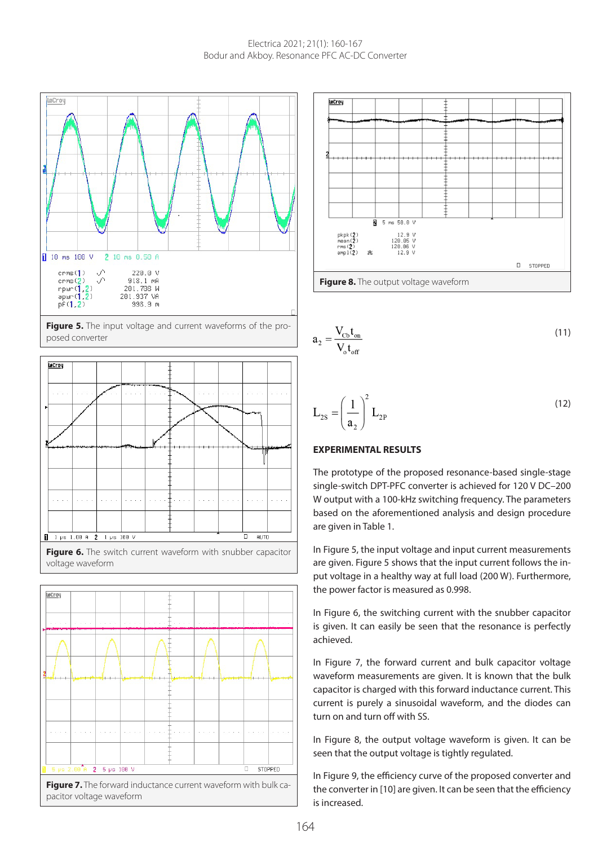

Figure 5. The input voltage and current waveforms of the proposed converter









$$
a_2 = \frac{V_{\text{cb}}t_{\text{on}}}{V_{\text{of}}t_{\text{off}}}
$$
\n(11)

$$
L_{2S} = \left(\frac{1}{a_2}\right)^2 L_{2P}
$$
\n(12)

## **EXPERIMENTAL RESULTS**

The prototype of the proposed resonance-based single-stage single-switch DPT-PFC converter is achieved for 120 V DC–200 W output with a 100-kHz switching frequency. The parameters based on the aforementioned analysis and design procedure are given in Table 1.

In Figure 5, the input voltage and input current measurements are given. Figure 5 shows that the input current follows the input voltage in a healthy way at full load (200 W). Furthermore, the power factor is measured as 0.998.

In Figure 6, the switching current with the snubber capacitor is given. It can easily be seen that the resonance is perfectly achieved.

In Figure 7, the forward current and bulk capacitor voltage waveform measurements are given. It is known that the bulk capacitor is charged with this forward inductance current. This current is purely a sinusoidal waveform, and the diodes can turn on and turn off with SS.

In Figure 8, the output voltage waveform is given. It can be seen that the output voltage is tightly regulated.

In Figure 9, the efficiency curve of the proposed converter and the converter in [10] are given. It can be seen that the efficiency is increased.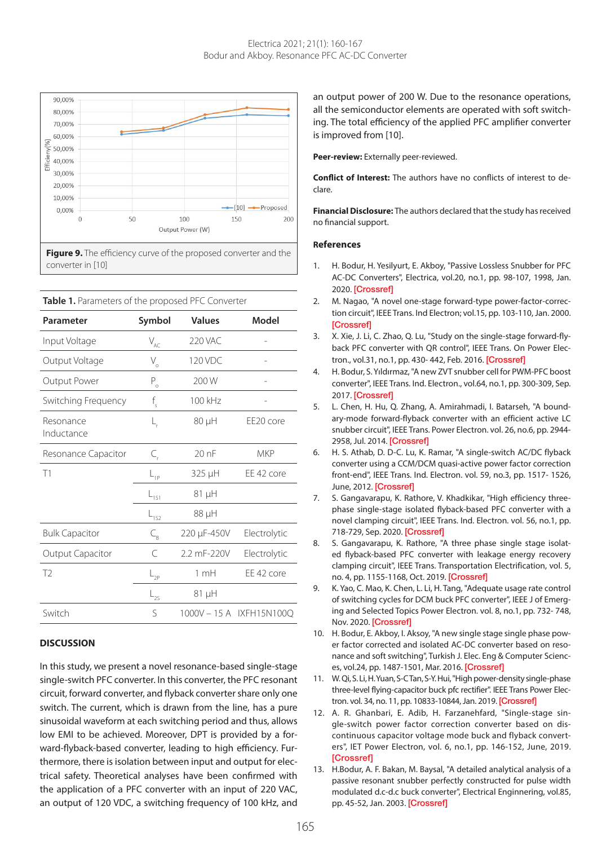

**Table 1.** Parameters of the proposed PFC Converter

| Parameter               | Symbol                           | <b>Values</b>  | Model                    |
|-------------------------|----------------------------------|----------------|--------------------------|
| Input Voltage           | $\mathsf{V}_{\mathsf{AC}}$       | <b>220 VAC</b> |                          |
| Output Voltage          | V.                               | 120 VDC        |                          |
| Output Power            | $P_{o}$                          | 200 W          |                          |
| Switching Frequency     | f<br>s                           | 100 kHz        |                          |
| Resonance<br>Inductance | L,                               | 80 µH          | EE20 core                |
| Resonance Capacitor     | $\subset_{\scriptscriptstyle\!}$ | 20nF           | <b>MKP</b>               |
| T <sub>1</sub>          | $L_{1P}$                         | 325 µH         | EE 42 core               |
|                         | $L_{151}$                        | 81 µH          |                          |
|                         | -152                             | 88 µH          |                          |
| <b>Bulk Capacitor</b>   | $C_{\rm R}$                      | 220 µF-450V    | Electrolytic             |
| <b>Output Capacitor</b> | C                                | 2.2 mF-220V    | Electrolytic             |
| T <sub>2</sub>          | $L_{2p}$                         | 1mH            | EE 42 core               |
|                         | $-2s$                            | 81 µH          |                          |
| Switch                  | S                                |                | 1000V - 15 A IXFH15N100Q |

#### **DISCUSSION**

In this study, we present a novel resonance-based single-stage single-switch PFC converter. In this converter, the PFC resonant circuit, forward converter, and flyback converter share only one switch. The current, which is drawn from the line, has a pure sinusoidal waveform at each switching period and thus, allows low EMI to be achieved. Moreover, DPT is provided by a forward-flyback-based converter, leading to high efficiency. Furthermore, there is isolation between input and output for electrical safety. Theoretical analyses have been confirmed with the application of a PFC converter with an input of 220 VAC, an output of 120 VDC, a switching frequency of 100 kHz, and

an output power of 200 W. Due to the resonance operations, all the semiconductor elements are operated with soft switching. The total efficiency of the applied PFC amplifier converter is improved from [10].

**Peer-review:** Externally peer-reviewed.

**Conflict of Interest:** The authors have no conflicts of interest to declare.

**Financial Disclosure:** The authors declared that the study has received no financial support.

#### **References**

- 1. H. Bodur, H. Yesilyurt, E. Akboy, "Passive Lossless Snubber for PFC AC-DC Converters", Electrica, vol.20, no.1, pp. 98-107, 1998, Jan. 2020. [\[Crossref\]](https://doi.org/10.5152/electrica.2020.19091)
- 2. M. Nagao, "A novel one-stage forward-type power-factor-correction circuit", IEEE Trans. Ind Electron; vol.15, pp. 103-110, Jan. 2000. [\[Crossref\]](https://doi.org/10.1109/63.817368)
- 3. X. Xie, J. Li, C. Zhao, Q. Lu, "Study on the single-stage forward-flyback PFC converter with QR control", IEEE Trans. On Power Elec-tron., vol.31, no.1, pp. 430-442, Feb. 2016. [\[Crossref\]](https://doi.org/10.1109/TPEL.2015.2404859)
- 4. H. Bodur, S. Yıldırmaz, "A new ZVT snubber cell for PWM-PFC boost converter", IEEE Trans. Ind. Electron., vol.64, no.1, pp. 300-309, Sep. 2017. [\[Crossref\]](https://doi.org/10.1109/TIE.2016.2608319)
- 5. L. Chen, H. Hu, Q. Zhang, A. Amirahmadi, I. Batarseh, "A boundary-mode forward-flyback converter with an efficient active LC snubber circuit", IEEE Trans. Power Electron. vol. 26, no.6, pp. 2944- 2958, Jul. 2014. [\[Crossref\]](https://doi.org/10.1109/TPEL.2013.2272661)
- 6. H. S. Athab, D. D-C. Lu, K. Ramar, "A single-switch AC/DC flyback converter using a CCM/DCM quasi-active power factor correction front-end", IEEE Trans. Ind. Electron. vol. 59, no.3, pp. 1517- 1526, June, 2012. [\[Crossref\]](https://doi.org/10.1109/TIE.2011.2158771)
- 7. S. Gangavarapu, K. Rathore, V. Khadkikar, "High efficiency threephase single-stage isolated flyback-based PFC converter with a novel clamping circuit", IEEE Trans. Ind. Electron. vol. 56, no.1, pp. 718-729, Sep. 2020. [\[Crossref\]](https://doi.org/10.1109/TIA.2019.2941571)
- 8. S. Gangavarapu, K. Rathore, "A three phase single stage isolated flyback-based PFC converter with leakage energy recovery clamping circuit", IEEE Trans. Transportation Electrification, vol. 5, no. 4, pp. 1155-1168, Oct. 2019. [\[Crossref\]](https://doi.org/10.1109/TTE.2019.2946492)
- 9. K. Yao, C. Mao, K. Chen, L. Li, H. Tang, "Adequate usage rate control of switching cycles for DCM buck PFC converter", IEEE J of Emerging and Selected Topics Power Electron. vol. 8, no.1, pp. 732- 748, Nov. 2020. [\[Crossref\]](https://doi.org/10.1109/JESTPE.2018.2882585)
- 10. H. Bodur, E. Akboy, I. Aksoy, "A new single stage single phase power factor corrected and isolated AC-DC converter based on resonance and soft switching", Turkish J. Elec. Eng & Computer Sciences, vol.24, pp. 1487-1501, Mar. 2016. [\[Crossref\]](https://doi.org/10.3906/elk-1311-187)
- 11. W. Qi, S. Li, H. Yuan, S-C Tan, S-Y. Hui, "High power-density single-phase three-level flying-capacitor buck pfc rectifier". IEEE Trans Power Electron. vol. 34, no. 11, pp. 10833-10844, Jan. 2019. [\[Crossref\]](https://doi.org/10.1109/TPEL.2019.2896585)
- 12. A. R. Ghanbari, E. Adib, H. Farzanehfard, "Single-stage single-switch power factor correction converter based on discontinuous capacitor voltage mode buck and flyback converters", IET Power Electron, vol. 6, no.1, pp. 146-152, June, 2019. **[\[Crossref\]](https://doi.org/10.1049/iet-pel.2012.0191)**
- 13. H.Bodur, A. F. Bakan, M. Baysal, "A detailed analytical analysis of a passive resonant snubber perfectly constructed for pulse width modulated d.c-d.c buck converter", Electrical Enginnering, vol.85, pp. 45-52, Jan. 2003. [\[Crossref\]](https://doi.org/10.1007/s00202-002-0141-7)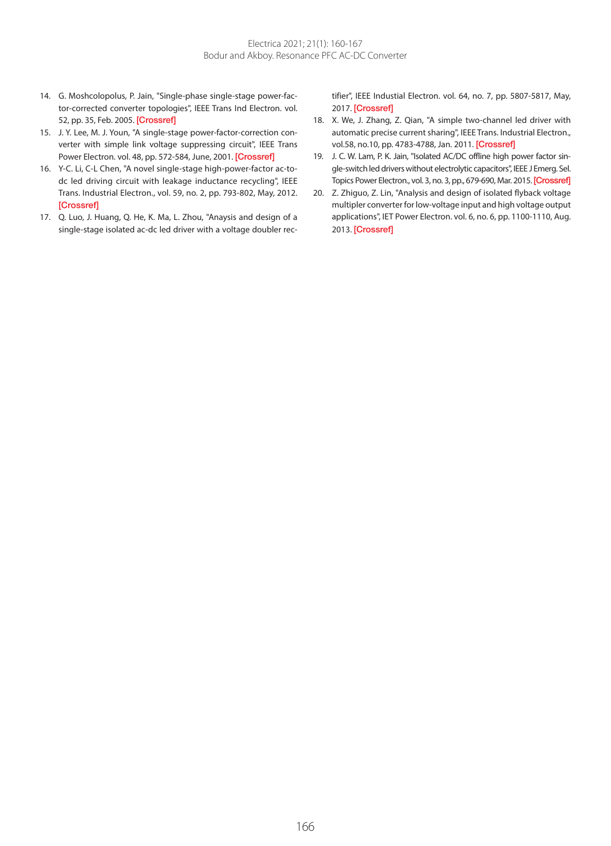- 14. G. Moshcolopolus, P. Jain, "Single-phase single-stage power-factor-corrected converter topologies", IEEE Trans Ind Electron. vol. 52, pp. 35, Feb. 2005. [\[Crossref\]](https://doi.org/10.1109/TIE.2004.841148)
- 15. J. Y. Lee, M. J. Youn, "A single-stage power-factor-correction converter with simple link voltage suppressing circuit", IEEE Trans Power Electron. vol. 48, pp. 572-584, June, 2001. [\[Crossref\]](https://doi.org/10.1109/41.925584)
- 16. Y-C. Li, C-L Chen, "A novel single-stage high-power-factor ac-todc led driving circuit with leakage inductance recycling", IEEE Trans. Industrial Electron., vol. 59, no. 2, pp. 793-802, May, 2012. [\[Crossref\]](https://doi.org/10.1109/TIE.2011.2151817)
- 17. Q. Luo, J. Huang, Q. He, K. Ma, L. Zhou, "Anaysis and design of a single-stage isolated ac-dc led driver with a voltage doubler rec-

tifier", IEEE Industial Electron. vol. 64, no. 7, pp. 5807-5817, May, 2017. [\[Crossref\]](https://doi.org/10.1109/TIE.2017.2652369)

- 18. X. We, J. Zhang, Z. Qian, "A simple two-channel led driver with automatic precise current sharing", IEEE Trans. Industrial Electron., vol.58, no.10, pp. 4783-4788, Jan. 2011. [\[Crossref\]](https://doi.org/10.1109/TIE.2011.2109339)
- 19. J. C. W. Lam, P. K. Jain, "Isolated AC/DC offline high power factor single-switch led drivers without electrolytic capacitors", IEEE J Emerg. Sel. Topics Power Electron., vol. 3, no. 3, pp., 679-690, Mar. 2015. [\[Crossref\]](https://doi.org/10.1109/JESTPE.2015.2419637)
- 20. Z. Zhiguo, Z. Lin, "Analysis and design of isolated flyback voltage multipler converter for low-voltage input and high voltage output applications", IET Power Electron. vol. 6, no. 6, pp. 1100-1110, Aug. 2013. [\[Crossref\]](https://doi.org/10.1049/iet-pel.2012.0552)